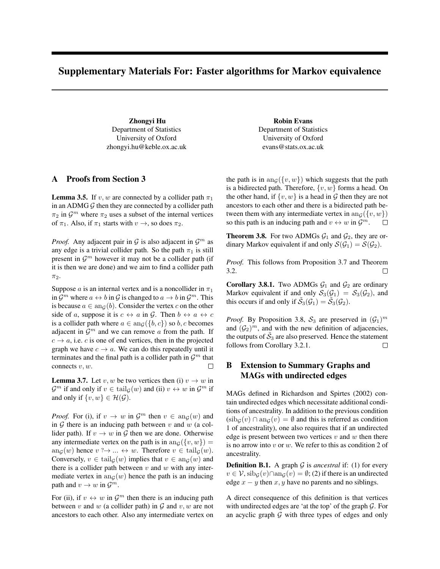## Supplementary Materials For: Faster algorithms for Markov equivalence

Zhongyi Hu Department of Statistics University of Oxford zhongyi.hu@keble.ox.ac.uk

## A Proofs from Section 3

**Lemma 3.5.** If v, w are connected by a collider path  $\pi_1$ in an ADMG  $G$  then they are connected by a collider path  $\pi_2$  in  $\mathcal{G}^m$  where  $\pi_2$  uses a subset of the internal vertices of  $\pi_1$ . Also, if  $\pi_1$  starts with  $v \to$ , so does  $\pi_2$ .

*Proof.* Any adjacent pair in  $G$  is also adjacent in  $G<sup>m</sup>$  as any edge is a trivial collider path. So the path  $\pi_1$  is still present in  $\mathcal{G}^m$  however it may not be a collider path (if it is then we are done) and we aim to find a collider path  $\pi_2$ .

Suppose *a* is an internal vertex and is a noncollider in  $\pi_1$ in  $\mathcal{G}^m$  where  $a \leftrightarrow b$  in  $\mathcal{G}$  is changed to  $a \to b$  in  $\mathcal{G}^m$ . This is because  $a \in \text{an}_{\mathcal{G}}(b)$ . Consider the vertex c on the other side of a, suppose it is  $c \leftrightarrow a$  in G. Then  $b \leftrightarrow a \leftrightarrow c$ is a collider path where  $a \in \text{an}_{\mathcal{G}}(\{b, c\})$  so b, c becomes adjacent in  $\mathcal{G}^m$  and we can remove a from the path. If  $c \rightarrow a$ , i.e. c is one of end vertices, then in the projected graph we have  $c \to a$ . We can do this repeatedly until it terminates and the final path is a collider path in  $\mathcal{G}^m$  that connects  $v, w$ .  $\Box$ 

**Lemma 3.7.** Let v, w be two vertices then (i)  $v \rightarrow w$  in  $\mathcal{G}^m$  if and only if  $v \in \text{tail}_{\mathcal{G}}(w)$  and (ii)  $v \leftrightarrow w$  in  $\mathcal{G}^m$  if and only if  $\{v, w\} \in \mathcal{H}(\mathcal{G})$ .

*Proof.* For (i), if  $v \to w$  in  $\mathcal{G}^m$  then  $v \in \text{ang}(w)$  and in  $G$  there is an inducing path between  $v$  and  $w$  (a collider path). If  $v \to w$  in G then we are done. Otherwise any intermediate vertex on the path is in  $an_G({v, w})$  =  $an_G(w)$  hence  $v \rightarrow \dots \leftrightarrow w$ . Therefore  $v \in \text{tail}_G(w)$ . Conversely,  $v \in \text{tail}_G(w)$  implies that  $v \in \text{an}_G(w)$  and there is a collider path between  $v$  and  $w$  with any intermediate vertex in  $an_G(w)$  hence the path is an inducing path and  $v \to w$  in  $\mathcal{G}^m$ .

For (ii), if  $v \leftrightarrow w$  in  $\mathcal{G}^m$  then there is an inducing path between v and w (a collider path) in  $G$  and v, w are not ancestors to each other. Also any intermediate vertex on

Robin Evans Department of Statistics University of Oxford evans@stats.ox.ac.uk

the path is in  $an_G({v, w})$  which suggests that the path is a bidirected path. Therefore,  $\{v, w\}$  forms a head. On the other hand, if  $\{v, w\}$  is a head in G then they are not ancestors to each other and there is a bidirected path between them with any intermediate vertex in  $\text{an}_{\mathcal{G}}(\{v, w\})$ so this path is an inducing path and  $v \leftrightarrow w$  in  $\mathcal{G}^m$ .  $\Box$ 

**Theorem 3.8.** For two ADMGs  $G_1$  and  $G_2$ , they are ordinary Markov equivalent if and only  $\mathcal{S}(\mathcal{G}_1) = \mathcal{S}(\mathcal{G}_2)$ .

*Proof.* This follows from Proposition 3.7 and Theorem 3.2.  $\Box$ 

Corollary 3.8.1. Two ADMGs  $G_1$  and  $G_2$  are ordinary Markov equivalent if and only  $S_3(\mathcal{G}_1) = S_3(\mathcal{G}_2)$ , and this occurs if and only if  $\tilde{S}_3(\mathcal{G}_1) = \tilde{S}_3(\mathcal{G}_2)$ .

*Proof.* By Proposition 3.8,  $S_3$  are preserved in  $(\mathcal{G}_1)^m$ and  $(\mathcal{G}_2)^m$ , and with the new definition of adjacencies, the outputs of  $\tilde{S}_3$  are also preserved. Hence the statement follows from Corollary 3.2.1.  $\Box$ 

## B Extension to Summary Graphs and MAGs with undirected edges

MAGs defined in Richardson and Spirtes (2002) contain undirected edges which necessitate additional conditions of ancestrality. In addition to the previous condition  $(\text{sib}_{G}(v) \cap \text{an}_{G}(v) = \emptyset$  and this is referred as condition 1 of ancestrality), one also requires that if an undirected edge is present between two vertices  $v$  and  $w$  then there is no arrow into  $v$  or  $w$ . We refer to this as condition 2 of ancestrality.

**Definition B.1.** A graph  $G$  is *ancestral* if: (1) for every  $v \in V$ ,  $\operatorname{sib}_{G}(v) \cap \operatorname{an}_{G}(v) = \emptyset$ ; (2) if there is an undirected edge  $x - y$  then  $x, y$  have no parents and no siblings.

A direct consequence of this definition is that vertices with undirected edges are 'at the top' of the graph  $G$ . For an acyclic graph  $G$  with three types of edges and only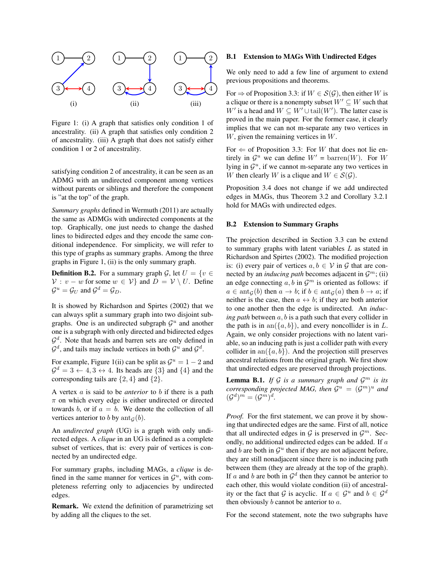

Figure 1: (i) A graph that satisfies only condition 1 of ancestrality. (ii) A graph that satisfies only condition 2 of ancestrality. (iii) A graph that does not satisfy either condition 1 or 2 of ancestrality.

satisfying condition 2 of ancestrality, it can be seen as an ADMG with an undirected component among vertices without parents or siblings and therefore the component is "at the top" of the graph.

*Summary graphs* defined in Wermuth (2011) are actually the same as ADMGs with undirected components at the top. Graphically, one just needs to change the dashed lines to bidirected edges and they encode the same conditional independence. For simplicity, we will refer to this type of graphs as summary graphs. Among the three graphs in Figure 1, (ii) is the only summary graph.

**Definition B.2.** For a summary graph G, let  $U = \{v \in$  $V: v - w$  for some  $w \in V$  and  $D = V \setminus U$ . Define  $\mathcal{G}^u = \mathcal{G}_U$  and  $\mathcal{G}^d = \mathcal{G}_D$ .

It is showed by Richardson and Spirtes (2002) that we can always split a summary graph into two disjoint subgraphs. One is an undirected subgraph  $\mathcal{G}^u$  and another one is a subgraph with only directed and bidirected edges  $\mathcal{G}^d$ . Note that heads and barren sets are only defined in  $\mathcal{G}^d$ , and tails may include vertices in both  $\mathcal{G}^u$  and  $\mathcal{G}^d$ .

For example, Figure 1(ii) can be split as  $\mathcal{G}^u = 1 - 2$  and  $\mathcal{G}^d = 3 \leftarrow 4, 3 \leftrightarrow 4$ . Its heads are  $\{3\}$  and  $\{4\}$  and the corresponding tails are  $\{2, 4\}$  and  $\{2\}$ .

A vertex a is said to be *anterior* to b if there is a path  $\pi$  on which every edge is either undirected or directed towards b, or if  $a = b$ . We denote the collection of all vertices anterior to b by  $\text{ant}_G(b)$ .

An *undirected graph* (UG) is a graph with only undirected edges. A *clique* in an UG is defined as a complete subset of vertices, that is: every pair of vertices is connected by an undirected edge.

For summary graphs, including MAGs, a *clique* is defined in the same manner for vertices in  $\mathcal{G}^u$ , with completeness referring only to adjacencies by undirected edges.

Remark. We extend the definition of parametrizing set by adding all the cliques to the set.

#### B.1 Extension to MAGs With Undirected Edges

We only need to add a few line of argument to extend previous propositions and theorems.

For  $\Rightarrow$  of Proposition 3.3: if  $W \in S(G)$ , then either W is a clique or there is a nonempty subset  $W' \subseteq W$  such that W' is a head and  $W \subseteq W' \cup \text{tail}(W')$ . The latter case is proved in the main paper. For the former case, it clearly implies that we can not m-separate any two vertices in  $W$ , given the remaining vertices in  $W$ .

For  $\Leftarrow$  of Proposition 3.3: For W that does not lie entirely in  $\mathcal{G}^u$  we can define  $W' = \text{barren}(W)$ . For W lying in  $\mathcal{G}^u$ , if we cannot m-separate any two vertices in W then clearly W is a clique and  $W \in \mathcal{S}(\mathcal{G})$ .

Proposition 3.4 does not change if we add undirected edges in MAGs, thus Theorem 3.2 and Corollary 3.2.1 hold for MAGs with undirected edges.

#### B.2 Extension to Summary Graphs

The projection described in Section 3.3 can be extend to summary graphs with latent variables L as stated in Richardson and Spirtes (2002). The modified projection is: (i) every pair of vertices  $a, b \in V$  in G that are connected by an *inducing path* becomes adjacent in  $\mathcal{G}^m$ ; (ii) an edge connecting  $a, b$  in  $\mathcal{G}^m$  is oriented as follows: if  $a \in \text{ant}_G(b)$  then  $a \to b$ ; if  $b \in \text{ant}_G(a)$  then  $b \to a$ ; if neither is the case, then  $a \leftrightarrow b$ ; if they are both anterior to one another then the edge is undirected. An *inducing path* between a, b is a path such that every collider in the path is in an( $\{a, b\}$ ), and every noncollider is in L. Again, we only consider projections with no latent variable, so an inducing path is just a collider path with every collider in an $({a, b})$ . And the projection still preserves ancestral relations from the original graph. We first show that undirected edges are preserved through projections.

**Lemma B.1.** If  $G$  is a summary graph and  $G^m$  is its *corresponding projected MAG, then*  $G^u = (G^m)^u$  *and*  $(\mathcal{G}^d)^m = (\mathcal{G}^m)^d$ .

*Proof.* For the first statement, we can prove it by showing that undirected edges are the same. First of all, notice that all undirected edges in  $G$  is preserved in  $G<sup>m</sup>$ . Secondly, no additional undirected edges can be added. If a and b are both in  $\mathcal{G}^u$  then if they are not adjacent before, they are still nonadjacent since there is no inducing path between them (they are already at the top of the graph). If a and b are both in  $\mathcal{G}^d$  then they cannot be anterior to each other, this would violate condition (ii) of ancestrality or the fact that G is acyclic. If  $a \in \mathcal{G}^u$  and  $b \in \mathcal{G}^d$ then obviously  $b$  cannot be anterior to  $a$ .

For the second statement, note the two subgraphs have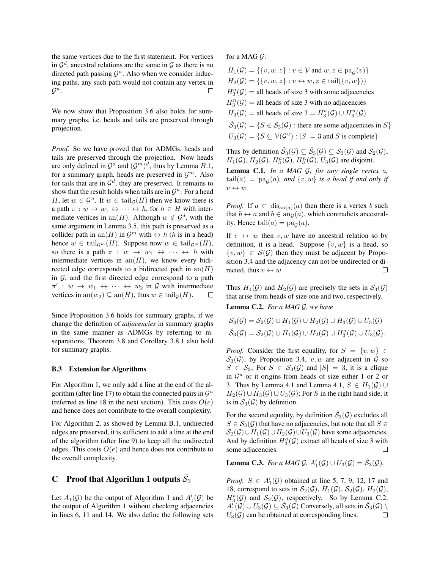the same vertices due to the first statement. For vertices in  $\mathcal{G}^d$ , ancestral relations are the same in  $\mathcal G$  as there is no directed path passing  $\mathcal{G}^u$ . Also when we consider inducing paths, any such path would not contain any vertex in  $\mathcal{G}^u$ .  $\Box$ 

We now show that Proposition 3.6 also holds for summary graphs, i.e. heads and tails are preserved through projection.

*Proof.* So we have proved that for ADMGs, heads and tails are preserved through the projection. Now heads are only defined in  $\mathcal{G}^d$  and  $(\mathcal{G}^m)^d$ , thus by Lemma  $B.1$ , for a summary graph, heads are preserved in  $\mathcal{G}^m$ . Also for tails that are in  $\mathcal{G}^d$ , they are preserved. It remains to show that the result holds when tails are in  $\mathcal{G}^u$ . For a head H, let  $w \in \mathcal{G}^u$ . If  $w \in \text{tail}_{\mathcal{G}}(H)$  then we know there is a path  $\pi : w \to w_1 \leftrightarrow \cdots \leftrightarrow h$ , for  $h \in H$  with intermediate vertices in an(H). Although  $w \notin \mathcal{G}^d$ , with the same argument in Lemma 3.5, this path is preserved as a collider path in an(H) in  $\mathcal{G}^m$  with  $\leftrightarrow h$  (h is in a head) hence  $w \in \text{tail}_{\mathcal{G}^m}(H)$ . Suppose now  $w \in \text{tail}_{\mathcal{G}^m}(H)$ , so there is a path  $\pi : w \to w_1 \leftrightarrow \cdots \leftrightarrow h$  with intermediate vertices in  $an(H)$ , we know every bidirected edge corresponds to a bidirected path in  $an(H)$ in  $G$ , and the first directed edge correspond to a path  $\pi' : w \to w_1 \leftrightarrow \cdots \leftrightarrow w_2$  in G with intermediate vertices in an $(w_2) \subseteq$  an $(H)$ , thus  $w \in \text{tail}_{\mathcal{G}}(H)$ .  $\Box$ 

Since Proposition 3.6 holds for summary graphs, if we change the definition of *adjacencies* in summary graphs in the same manner as ADMGs by referring to mseparations, Theorem 3.8 and Corollary 3.8.1 also hold for summary graphs.

#### B.3 Extension for Algorithms

For Algorithm 1, we only add a line at the end of the algorithm (after line 17) to obtain the connected pairs in  $\mathcal{G}^u$ (referred as line 18 in the next section). This costs  $O(e)$ and hence does not contribute to the overall complexity.

For Algorithm 2, as showed by Lemma B.1, undirected edges are preserved, it is sufficient to add a line at the end of the algorithm (after line 9) to keep all the undirected edges. This costs  $O(e)$  and hence does not contribute to the overall complexity.

# C Proof that Algorithm 1 outputs  $\tilde{\mathcal{S}}_3$

Let  $A_1(\mathcal{G})$  be the output of Algorithm 1 and  $A'_1(\mathcal{G})$  be the output of Algorithm 1 without checking adjacencies in lines 6, 11 and 14. We also define the following sets for a MAG  $G$ :

 $H_1(\mathcal{G}) = \{ \{v, w, z\} : v \in \mathcal{V} \text{ and } w, z \in \text{pa}_{\mathcal{G}}(v) \}$  $H_2(\mathcal{G}) = \{ \{v, w, z\} : v \leftrightarrow w, z \in \text{tail}(\{v, w\}) \}$  $H_3^a(\mathcal{G}) =$  all heads of size 3 with some adjacencies  $H_3^n(\mathcal{G}) =$  all heads of size 3 with no adjacencies  $H_3(\mathcal{G}) =$  all heads of size  $3 = H_3^a(\mathcal{G}) \cup H_3^n(\mathcal{G})$  $\hat{\mathcal{S}}_3(\mathcal{G}) = \{ S \in \mathcal{S}_3(\mathcal{G}) : \text{there are some adjacencies in } S \}$  $U_3(\mathcal{G}) = \{ S \subseteq \mathcal{V}(\mathcal{G}^u) : |S| = 3 \text{ and } S \text{ is complete} \}.$ 

Thus by definition  $\tilde{\mathcal{S}}_3(\mathcal{G}) \subseteq \hat{\mathcal{S}}_3(\mathcal{G}) \subseteq \mathcal{S}_3(\mathcal{G})$  and  $\mathcal{S}_2(\mathcal{G})$ ,  $H_1(\mathcal{G}), H_2(\mathcal{G}), H_3^n(\mathcal{G}), H_3^n(\mathcal{G}), U_3(\mathcal{G})$  are disjoint.

Lemma C.1. *In a MAG* G*, for any single vertex* a*,*  $\mathrm{tail}(a) = \mathrm{pa}_{\mathcal{G}}(a)$ *, and*  $\{v,w\}$  *is a head if and only if*  $v \leftrightarrow w$ .

*Proof.* If  $a \text{ }\subset \text{ dis}_{\text{an}(a)}(a)$  then there is a vertex b such that  $b \leftrightarrow a$  and  $b \in \text{an}_{\mathcal{G}}(a)$ , which contradicts ancestrality. Hence  $\text{tail}(a) = \text{pa}_{\mathcal{G}}(a)$ .

If  $v \leftrightarrow w$  then  $v, w$  have no ancestral relation so by definition, it is a head. Suppose  $\{v, w\}$  is a head, so  $\{v, w\} \in S(\mathcal{G})$  then they must be adjacent by Proposition 3.4 and the adjacency can not be undirected or directed, thus  $v \leftrightarrow w$ .  $\Box$ 

Thus  $H_1(\mathcal{G})$  and  $H_2(\mathcal{G})$  are precisely the sets in  $\mathcal{S}_3(\mathcal{G})$ that arise from heads of size one and two, respectively.

Lemma C.2. *For a MAG* G*, we have*

$$
S_3(\mathcal{G}) = S_2(\mathcal{G}) \cup H_1(\mathcal{G}) \cup H_2(\mathcal{G}) \cup H_3(\mathcal{G}) \cup U_3(\mathcal{G})
$$
  

$$
\hat{S}_3(\mathcal{G}) = S_2(\mathcal{G}) \cup H_1(\mathcal{G}) \cup H_2(\mathcal{G}) \cup H_3^{\alpha}(\mathcal{G}) \cup U_3(\mathcal{G}).
$$

*Proof.* Consider the first equality, for  $S = \{v, w\} \in$  $S_3(\mathcal{G})$ , by Proposition 3.4, v, w are adjacent in  $\mathcal G$  so  $S \in S_2$ ; For  $S \in S_3(\mathcal{G})$  and  $|S| = 3$ , it is a clique in  $\mathcal{G}^u$  or it origins from heads of size either 1 or 2 or 3. Thus by Lemma 4.1 and Lemma 4.1,  $S \in H_1(\mathcal{G})$  ∪  $H_2(\mathcal{G}) \cup H_3(\mathcal{G}) \cup U_3(\mathcal{G})$ ; For S in the right hand side, it is in  $S_3(\mathcal{G})$  by definition.

For the second equality, by definition  $\hat{\mathcal{S}}_3(\mathcal{G})$  excludes all  $S \in S_3(\mathcal{G})$  that have no adjacencies, but note that all  $S \in$  $S_2(G) \cup H_1(G) \cup H_2(G) \cup U_3(G)$  have some adjacencies. And by definition  $H_3^a(\mathcal{G})$  extract all heads of size 3 with some adjacencies.  $\Box$ 

**Lemma C.3.** For a MAG  $\mathcal{G}$ ,  $A'_1(\mathcal{G}) \cup U_3(\mathcal{G}) = \hat{\mathcal{S}}_3(\mathcal{G})$ .

*Proof.*  $S \in A'_{1}(G)$  obtained at line 5, 7, 9, 12, 17 and 18, correspond to sets in  $\mathcal{S}_2(\mathcal{G})$ ,  $H_1(\mathcal{G})$ ,  $\mathcal{S}_2(\mathcal{G})$ ,  $H_2(\mathcal{G})$ ,  $H_3^a(\mathcal{G})$  and  $\mathcal{S}_2(\mathcal{G})$ , respectively. So by Lemma C.2,  $A'_1(\mathcal{G}) \cup U_3(\mathcal{G}) \subseteq \hat{\mathcal{S}}_3(\mathcal{G})$  Conversely, all sets in  $\hat{\mathcal{S}}_3(\mathcal{G}) \setminus$  $U_3(\mathcal{G})$  can be obtained at corresponding lines.  $\Box$